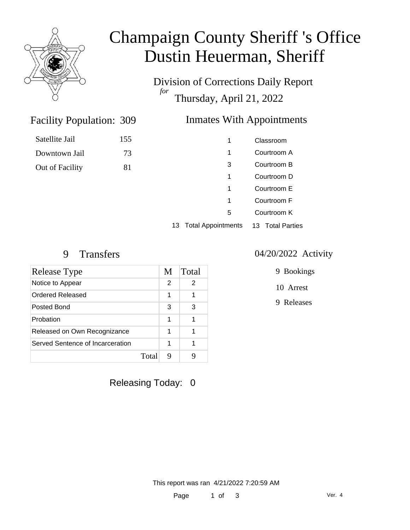

# Champaign County Sheriff 's Office Dustin Heuerman, Sheriff

Division of Corrections Daily Report *for* Thursday, April 21, 2022

### Inmates With Appointments

| Satellite Jail  | 155 |
|-----------------|-----|
| Downtown Jail   | 73  |
| Out of Facility | 81  |

Facility Population: 309

| 1                     | Classroom        |
|-----------------------|------------------|
| 1                     | Courtroom A      |
| 3                     | Courtroom B      |
| 1                     | Courtroom D      |
| 1                     | Courtroom E      |
| 1                     | Courtroom F      |
| 5                     | Courtroom K      |
| 13 Total Appointments | 13 Total Parties |
|                       |                  |

| Release Type                     | M             | Total |
|----------------------------------|---------------|-------|
| Notice to Appear                 | $\mathcal{P}$ | 2     |
| Ordered Released                 | 1             | 1     |
| Posted Bond                      | 3             | 3     |
| Probation                        | 1             | 1     |
| Released on Own Recognizance     | 1             | 1     |
| Served Sentence of Incarceration | 1             | 1     |
| Total                            | 9             |       |

# Releasing Today: 0

#### 9 Transfers 04/20/2022 Activity

9 Bookings

10 Arrest

9 Releases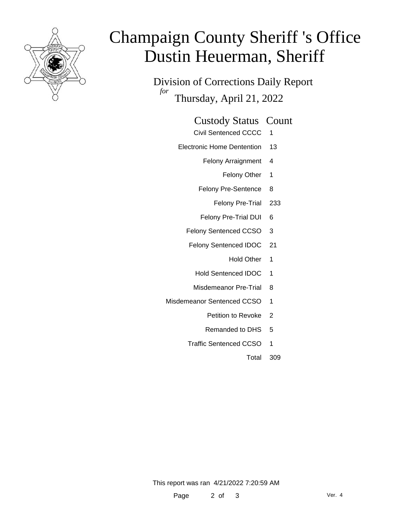

# Champaign County Sheriff 's Office Dustin Heuerman, Sheriff

Division of Corrections Daily Report *for* Thursday, April 21, 2022

#### Custody Status Count

- Civil Sentenced CCCC 1
- Electronic Home Dentention 13
	- Felony Arraignment 4
		- Felony Other 1
	- Felony Pre-Sentence 8
		- Felony Pre-Trial 233
	- Felony Pre-Trial DUI 6
	- Felony Sentenced CCSO 3
	- Felony Sentenced IDOC 21
		- Hold Other 1
		- Hold Sentenced IDOC 1
		- Misdemeanor Pre-Trial 8
- Misdemeanor Sentenced CCSO 1
	- Petition to Revoke 2
	- Remanded to DHS 5
	- Traffic Sentenced CCSO 1
		- Total 309

This report was ran 4/21/2022 7:20:59 AM